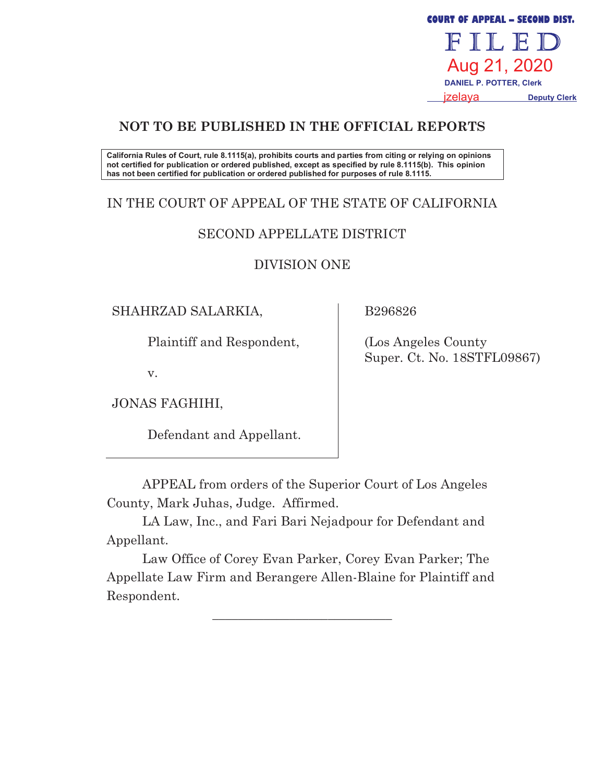FILED Aug 21, 2020  **DANIEL P. POTTER, Clerk** izelava  **Deputy Clerk**

**COURT OF APPEAL - SECOND DIST.** 

# **NOT TO BE PUBLISHED IN THE OFFICIAL REPORTS**

**California Rules of Court, rule 8.1115(a), prohibits courts and parties from citing or relying on opinions not certified for publication or ordered published, except as specified by rule 8.1115(b). This opinion has not been certified for publication or ordered published for purposes of rule 8.1115.** 

# IN THE COURT OF APPEAL OF THE STATE OF CALIFORNIA

### SECOND APPELLATE DISTRICT

### DIVISION ONE

### SHAHRZAD SALARKIA,

Plaintiff and Respondent,

v.

JONAS FAGHIHI,

Defendant and Appellant.

B296826

 (Los Angeles County Super. Ct. No. 18STFL09867)

APPEAL from orders of the Superior Court of Los Angeles County, Mark Juhas, Judge. Affirmed.

 LA Law, Inc., and Fari Bari Nejadpour for Defendant and Appellant.

 Law Office of Corey Evan Parker, Corey Evan Parker; The Appellate Law Firm and Berangere Allen-Blaine for Plaintiff and Respondent.

\_\_\_\_\_\_\_\_\_\_\_\_\_\_\_\_\_\_\_\_\_\_\_\_\_\_\_\_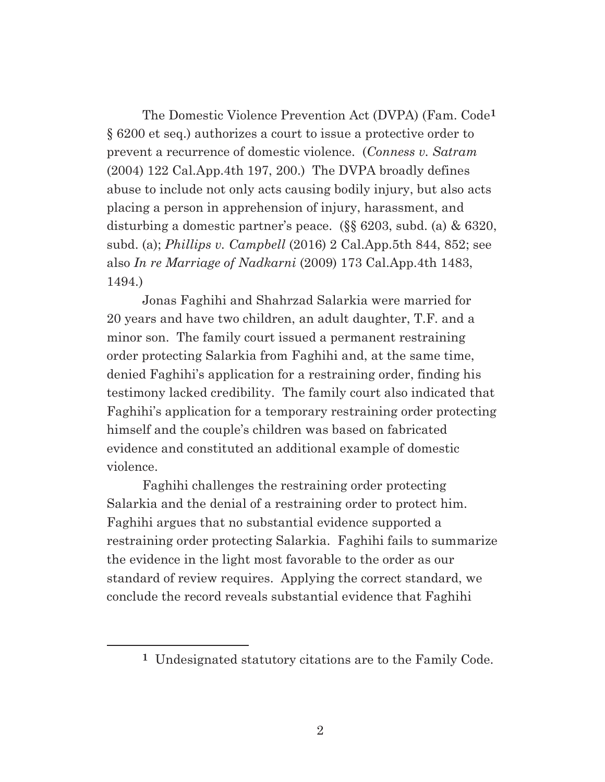The Domestic Violence Prevention Act (DVPA) (Fam. Code**1** § 6200 et seq.) authorizes a court to issue a protective order to prevent a recurrence of domestic violence. (*Conness v. Satram* (2004) 122 Cal.App.4th 197, 200.) The DVPA broadly defines abuse to include not only acts causing bodily injury, but also acts placing a person in apprehension of injury, harassment, and disturbing a domestic partner's peace. (§§ 6203, subd. (a) & 6320, subd. (a); *Phillips v. Campbell* (2016) 2 Cal.App.5th 844, 852; see also *In re Marriage of Nadkarni* (2009) 173 Cal.App.4th 1483, 1494.)

 Jonas Faghihi and Shahrzad Salarkia were married for 20 years and have two children, an adult daughter, T.F. and a minor son. The family court issued a permanent restraining order protecting Salarkia from Faghihi and, at the same time, denied Faghihi's application for a restraining order, finding his testimony lacked credibility. The family court also indicated that Faghihi's application for a temporary restraining order protecting himself and the couple's children was based on fabricated evidence and constituted an additional example of domestic violence.

 Faghihi challenges the restraining order protecting Salarkia and the denial of a restraining order to protect him. Faghihi argues that no substantial evidence supported a restraining order protecting Salarkia. Faghihi fails to summarize the evidence in the light most favorable to the order as our standard of review requires. Applying the correct standard, we conclude the record reveals substantial evidence that Faghihi

**<sup>1</sup>** Undesignated statutory citations are to the Family Code.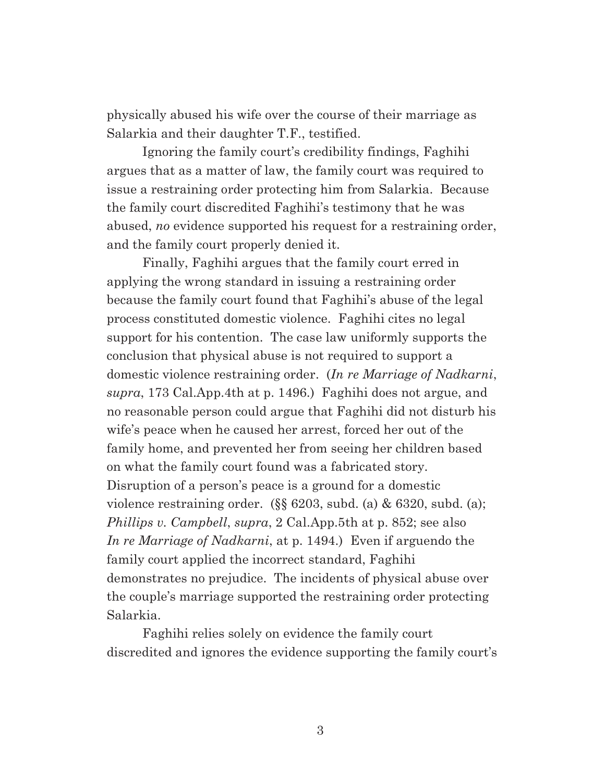physically abused his wife over the course of their marriage as Salarkia and their daughter T.F., testified.

 Ignoring the family court's credibility findings, Faghihi argues that as a matter of law, the family court was required to issue a restraining order protecting him from Salarkia. Because the family court discredited Faghihi's testimony that he was abused, *no* evidence supported his request for a restraining order, and the family court properly denied it.

 Finally, Faghihi argues that the family court erred in applying the wrong standard in issuing a restraining order because the family court found that Faghihi's abuse of the legal process constituted domestic violence. Faghihi cites no legal support for his contention. The case law uniformly supports the conclusion that physical abuse is not required to support a domestic violence restraining order. (*In re Marriage of Nadkarni*, *supra*, 173 Cal.App.4th at p. 1496.) Faghihi does not argue, and no reasonable person could argue that Faghihi did not disturb his wife's peace when he caused her arrest, forced her out of the family home, and prevented her from seeing her children based on what the family court found was a fabricated story. Disruption of a person's peace is a ground for a domestic violence restraining order. (§§ 6203, subd. (a) & 6320, subd. (a); *Phillips v. Campbell*, *supra*, 2 Cal.App.5th at p. 852; see also *In re Marriage of Nadkarni*, at p. 1494.) Even if arguendo the family court applied the incorrect standard, Faghihi demonstrates no prejudice. The incidents of physical abuse over the couple's marriage supported the restraining order protecting Salarkia.

 Faghihi relies solely on evidence the family court discredited and ignores the evidence supporting the family court's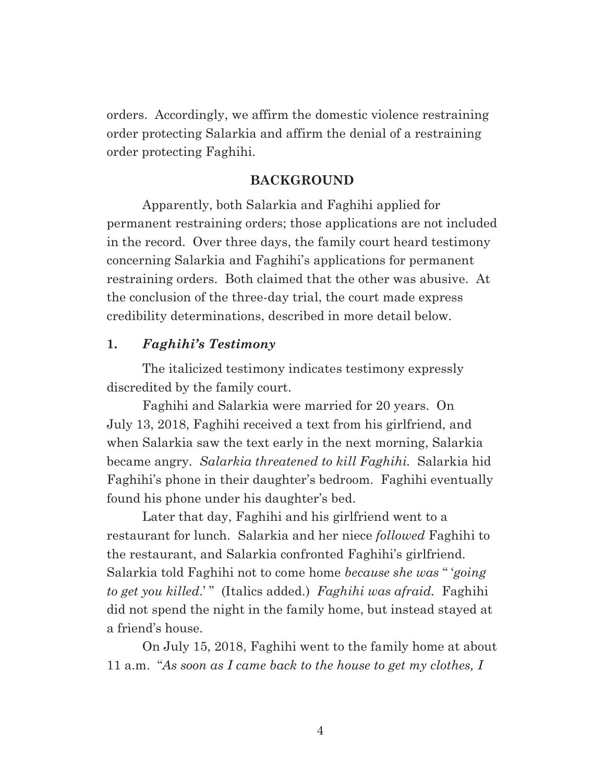orders. Accordingly, we affirm the domestic violence restraining order protecting Salarkia and affirm the denial of a restraining order protecting Faghihi.

#### **BACKGROUND**

 Apparently, both Salarkia and Faghihi applied for permanent restraining orders; those applications are not included in the record. Over three days, the family court heard testimony concerning Salarkia and Faghihi's applications for permanent restraining orders. Both claimed that the other was abusive. At the conclusion of the three-day trial, the court made express credibility determinations, described in more detail below.

#### **1.** *Faghihi's Testimony*

 The italicized testimony indicates testimony expressly discredited by the family court.

 Faghihi and Salarkia were married for 20 years. On July 13, 2018, Faghihi received a text from his girlfriend, and when Salarkia saw the text early in the next morning, Salarkia became angry. *Salarkia threatened to kill Faghihi.* Salarkia hid Faghihi's phone in their daughter's bedroom. Faghihi eventually found his phone under his daughter's bed.

 Later that day, Faghihi and his girlfriend went to a restaurant for lunch. Salarkia and her niece *followed* Faghihi to the restaurant, and Salarkia confronted Faghihi's girlfriend. Salarkia told Faghihi not to come home *because she was* " '*going to get you killed*.' " (Italics added.) *Faghihi was afraid.* Faghihi did not spend the night in the family home, but instead stayed at a friend's house.

 On July 15, 2018, Faghihi went to the family home at about 11 a.m. "*As soon as I came back to the house to get my clothes, I*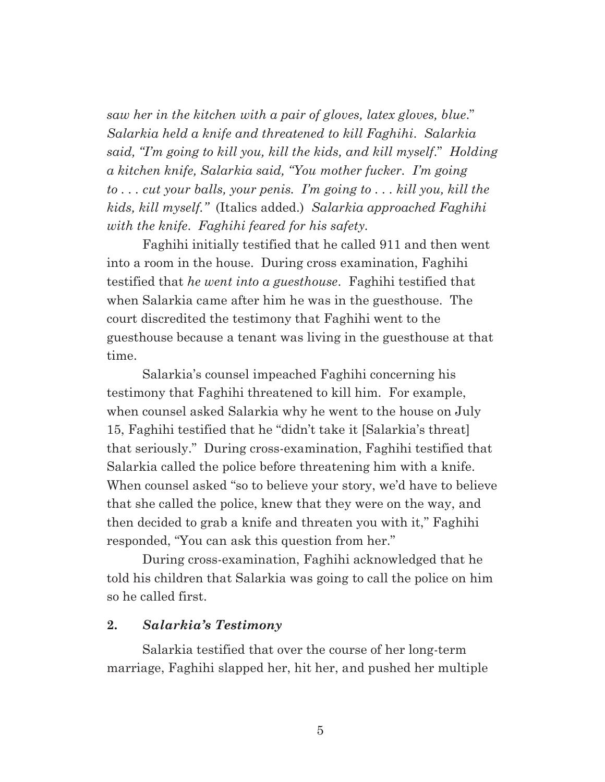*saw her in the kitchen with a pair of gloves, latex gloves, blue*." *Salarkia held a knife and threatened to kill Faghihi*. *Salarkia said, "I'm going to kill you, kill the kids, and kill myself*." *Holding a kitchen knife, Salarkia said, "You mother fucker. I'm going to . . . cut your balls, your penis. I'm going to . . . kill you, kill the kids, kill myself."* (Italics added.) *Salarkia approached Faghihi with the knife*. *Faghihi feared for his safety.*

 Faghihi initially testified that he called 911 and then went into a room in the house. During cross examination, Faghihi testified that *he went into a guesthouse*. Faghihi testified that when Salarkia came after him he was in the guesthouse. The court discredited the testimony that Faghihi went to the guesthouse because a tenant was living in the guesthouse at that time.

 Salarkia's counsel impeached Faghihi concerning his testimony that Faghihi threatened to kill him. For example, when counsel asked Salarkia why he went to the house on July 15, Faghihi testified that he "didn't take it [Salarkia's threat] that seriously." During cross-examination, Faghihi testified that Salarkia called the police before threatening him with a knife. When counsel asked "so to believe your story, we'd have to believe that she called the police, knew that they were on the way, and then decided to grab a knife and threaten you with it," Faghihi responded, "You can ask this question from her."

 During cross-examination, Faghihi acknowledged that he told his children that Salarkia was going to call the police on him so he called first.

### **2.** *Salarkia's Testimony*

 Salarkia testified that over the course of her long-term marriage, Faghihi slapped her, hit her, and pushed her multiple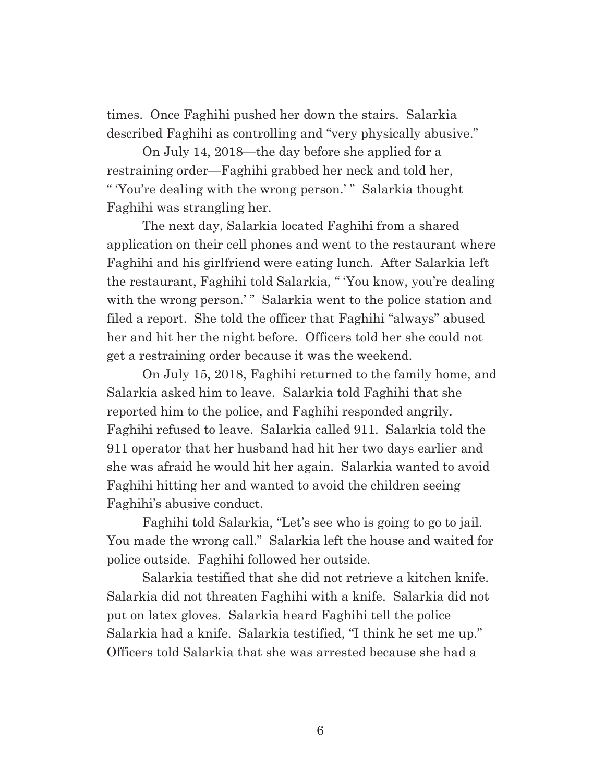times. Once Faghihi pushed her down the stairs. Salarkia described Faghihi as controlling and "very physically abusive."

 On July 14, 2018—the day before she applied for a restraining order—Faghihi grabbed her neck and told her, " 'You're dealing with the wrong person.' " Salarkia thought Faghihi was strangling her.

 The next day, Salarkia located Faghihi from a shared application on their cell phones and went to the restaurant where Faghihi and his girlfriend were eating lunch. After Salarkia left the restaurant, Faghihi told Salarkia, " 'You know, you're dealing with the wrong person.'" Salarkia went to the police station and filed a report. She told the officer that Faghihi "always" abused her and hit her the night before. Officers told her she could not get a restraining order because it was the weekend.

 On July 15, 2018, Faghihi returned to the family home, and Salarkia asked him to leave. Salarkia told Faghihi that she reported him to the police, and Faghihi responded angrily. Faghihi refused to leave. Salarkia called 911. Salarkia told the 911 operator that her husband had hit her two days earlier and she was afraid he would hit her again. Salarkia wanted to avoid Faghihi hitting her and wanted to avoid the children seeing Faghihi's abusive conduct.

 Faghihi told Salarkia, "Let's see who is going to go to jail. You made the wrong call." Salarkia left the house and waited for police outside. Faghihi followed her outside.

 Salarkia testified that she did not retrieve a kitchen knife. Salarkia did not threaten Faghihi with a knife. Salarkia did not put on latex gloves. Salarkia heard Faghihi tell the police Salarkia had a knife. Salarkia testified, "I think he set me up." Officers told Salarkia that she was arrested because she had a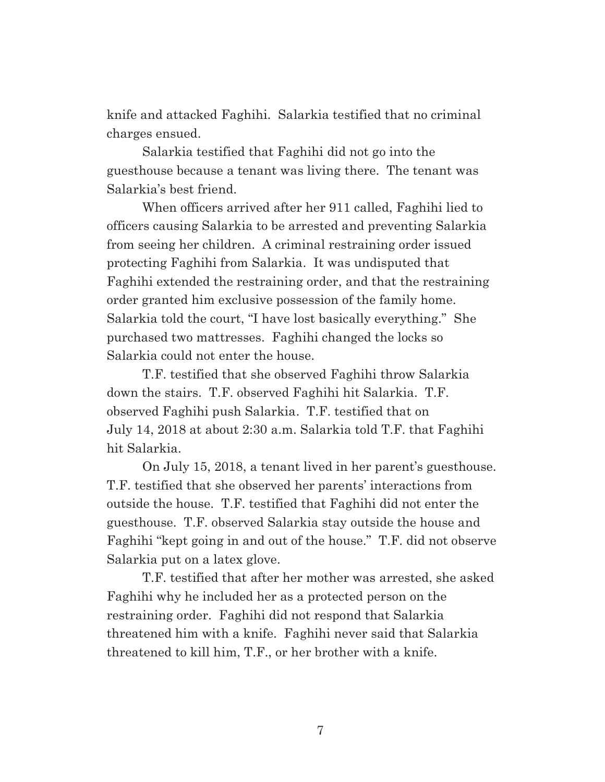knife and attacked Faghihi. Salarkia testified that no criminal charges ensued.

 Salarkia testified that Faghihi did not go into the guesthouse because a tenant was living there. The tenant was Salarkia's best friend.

 When officers arrived after her 911 called, Faghihi lied to officers causing Salarkia to be arrested and preventing Salarkia from seeing her children. A criminal restraining order issued protecting Faghihi from Salarkia. It was undisputed that Faghihi extended the restraining order, and that the restraining order granted him exclusive possession of the family home. Salarkia told the court, "I have lost basically everything." She purchased two mattresses. Faghihi changed the locks so Salarkia could not enter the house.

 T.F. testified that she observed Faghihi throw Salarkia down the stairs. T.F. observed Faghihi hit Salarkia. T.F. observed Faghihi push Salarkia. T.F. testified that on July 14, 2018 at about 2:30 a.m. Salarkia told T.F. that Faghihi hit Salarkia.

 On July 15, 2018, a tenant lived in her parent's guesthouse. T.F. testified that she observed her parents' interactions from outside the house. T.F. testified that Faghihi did not enter the guesthouse. T.F. observed Salarkia stay outside the house and Faghihi "kept going in and out of the house." T.F. did not observe Salarkia put on a latex glove.

 T.F. testified that after her mother was arrested, she asked Faghihi why he included her as a protected person on the restraining order. Faghihi did not respond that Salarkia threatened him with a knife. Faghihi never said that Salarkia threatened to kill him, T.F., or her brother with a knife.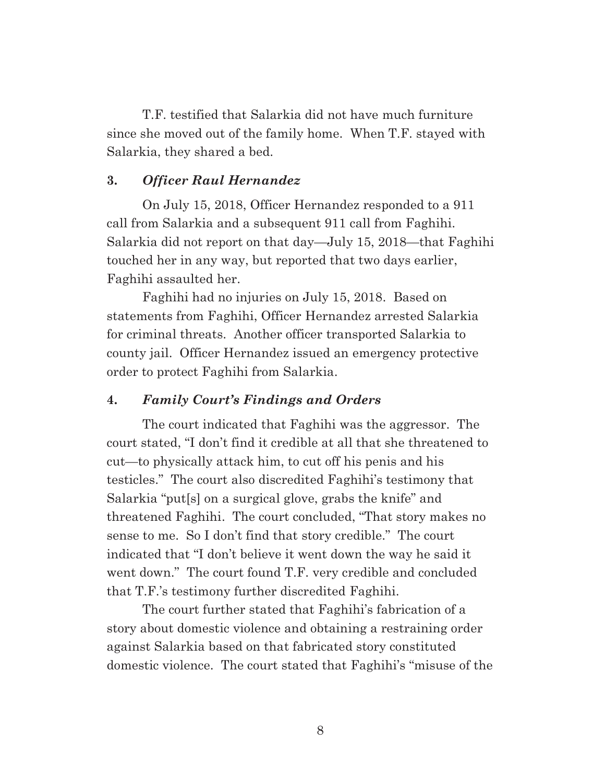T.F. testified that Salarkia did not have much furniture since she moved out of the family home. When T.F. stayed with Salarkia, they shared a bed.

### **3.** *Officer Raul Hernandez*

 On July 15, 2018, Officer Hernandez responded to a 911 call from Salarkia and a subsequent 911 call from Faghihi. Salarkia did not report on that day—July 15, 2018—that Faghihi touched her in any way, but reported that two days earlier, Faghihi assaulted her.

 Faghihi had no injuries on July 15, 2018. Based on statements from Faghihi, Officer Hernandez arrested Salarkia for criminal threats. Another officer transported Salarkia to county jail. Officer Hernandez issued an emergency protective order to protect Faghihi from Salarkia.

#### **4.** *Family Court's Findings and Orders*

 The court indicated that Faghihi was the aggressor. The court stated, "I don't find it credible at all that she threatened to cut—to physically attack him, to cut off his penis and his testicles." The court also discredited Faghihi's testimony that Salarkia "put[s] on a surgical glove, grabs the knife" and threatened Faghihi. The court concluded, "That story makes no sense to me. So I don't find that story credible." The court indicated that "I don't believe it went down the way he said it went down." The court found T.F. very credible and concluded that T.F.'s testimony further discredited Faghihi.

 The court further stated that Faghihi's fabrication of a story about domestic violence and obtaining a restraining order against Salarkia based on that fabricated story constituted domestic violence. The court stated that Faghihi's "misuse of the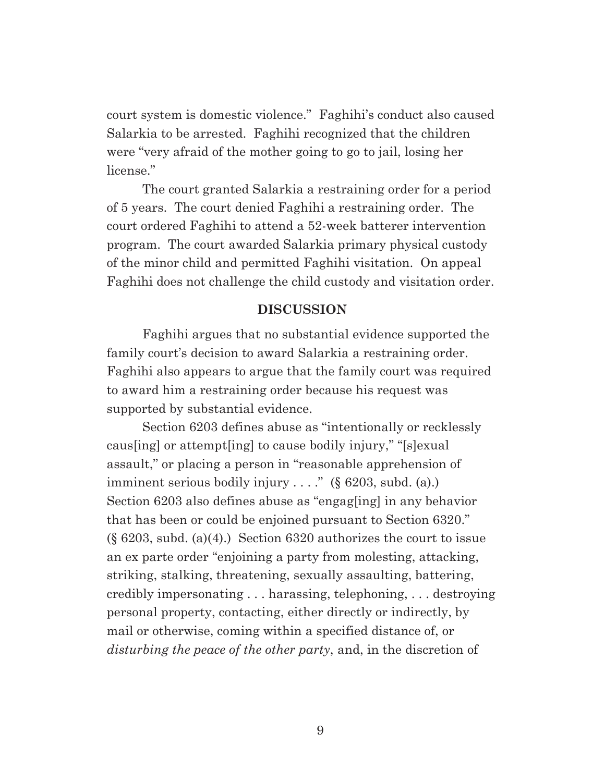court system is domestic violence." Faghihi's conduct also caused Salarkia to be arrested. Faghihi recognized that the children were "very afraid of the mother going to go to jail, losing her license."

 The court granted Salarkia a restraining order for a period of 5 years. The court denied Faghihi a restraining order. The court ordered Faghihi to attend a 52-week batterer intervention program. The court awarded Salarkia primary physical custody of the minor child and permitted Faghihi visitation. On appeal Faghihi does not challenge the child custody and visitation order.

#### **DISCUSSION**

 Faghihi argues that no substantial evidence supported the family court's decision to award Salarkia a restraining order. Faghihi also appears to argue that the family court was required to award him a restraining order because his request was supported by substantial evidence.

 Section 6203 defines abuse as "intentionally or recklessly caus[ing] or attempt[ing] to cause bodily injury," "[s]exual assault," or placing a person in "reasonable apprehension of imminent serious bodily injury . . . ." (§ 6203, subd. (a).) Section 6203 also defines abuse as "engag[ing] in any behavior that has been or could be enjoined pursuant to Section 6320." (§ 6203, subd. (a)(4).) Section 6320 authorizes the court to issue an ex parte order "enjoining a party from molesting, attacking, striking, stalking, threatening, sexually assaulting, battering, credibly impersonating . . . harassing, telephoning, . . . destroying personal property, contacting, either directly or indirectly, by mail or otherwise, coming within a specified distance of, or *disturbing the peace of the other party*, and, in the discretion of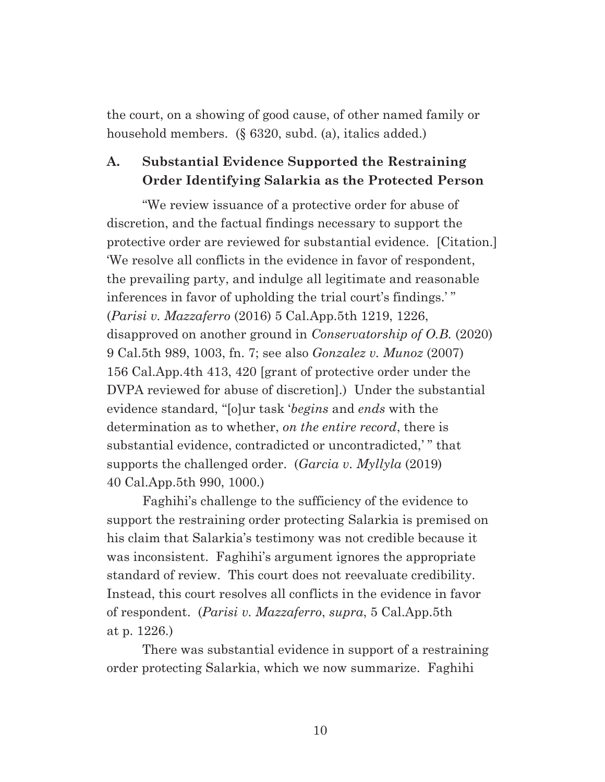the court, on a showing of good cause, of other named family or household members. (§ 6320, subd. (a), italics added.)

## **A. Substantial Evidence Supported the Restraining Order Identifying Salarkia as the Protected Person**

"We review issuance of a protective order for abuse of discretion, and the factual findings necessary to support the protective order are reviewed for substantial evidence. [Citation.] 'We resolve all conflicts in the evidence in favor of respondent, the prevailing party, and indulge all legitimate and reasonable inferences in favor of upholding the trial court's findings.' " (*Parisi v. Mazzaferro* (2016) 5 Cal.App.5th 1219, 1226, disapproved on another ground in *Conservatorship of O.B.* (2020) 9 Cal.5th 989, 1003, fn. 7; see also *Gonzalez v. Munoz* (2007) 156 Cal.App.4th 413, 420 [grant of protective order under the DVPA reviewed for abuse of discretion].) Under the substantial evidence standard, "[o]ur task '*begins* and *ends* with the determination as to whether, *on the entire record*, there is substantial evidence, contradicted or uncontradicted,'" that supports the challenged order. (*Garcia v. Myllyla* (2019) 40 Cal.App.5th 990, 1000.)

 Faghihi's challenge to the sufficiency of the evidence to support the restraining order protecting Salarkia is premised on his claim that Salarkia's testimony was not credible because it was inconsistent. Faghihi's argument ignores the appropriate standard of review. This court does not reevaluate credibility. Instead, this court resolves all conflicts in the evidence in favor of respondent. (*Parisi v. Mazzaferro*, *supra*, 5 Cal.App.5th at p. 1226.)

 There was substantial evidence in support of a restraining order protecting Salarkia, which we now summarize. Faghihi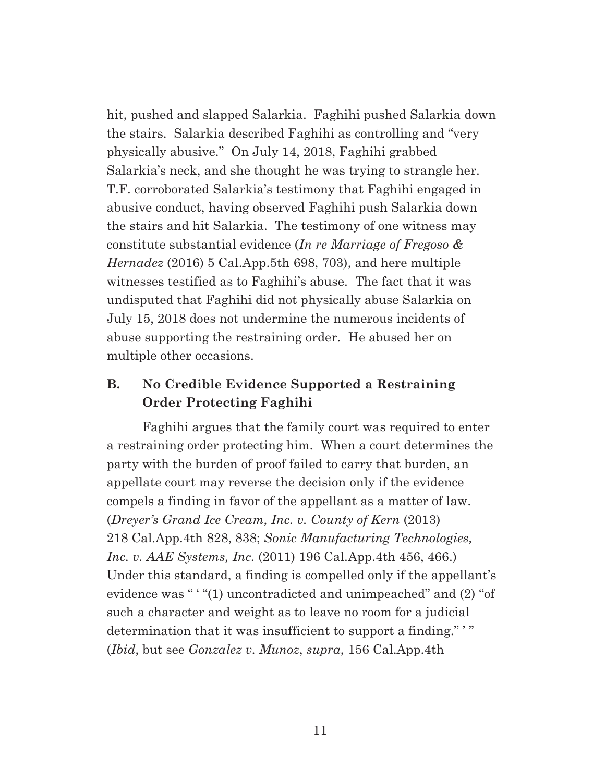hit, pushed and slapped Salarkia. Faghihi pushed Salarkia down the stairs. Salarkia described Faghihi as controlling and "very physically abusive." On July 14, 2018, Faghihi grabbed Salarkia's neck, and she thought he was trying to strangle her. T.F. corroborated Salarkia's testimony that Faghihi engaged in abusive conduct, having observed Faghihi push Salarkia down the stairs and hit Salarkia. The testimony of one witness may constitute substantial evidence (*In re Marriage of Fregoso & Hernadez* (2016) 5 Cal.App.5th 698, 703), and here multiple witnesses testified as to Faghihi's abuse. The fact that it was undisputed that Faghihi did not physically abuse Salarkia on July 15, 2018 does not undermine the numerous incidents of abuse supporting the restraining order. He abused her on multiple other occasions.

## **B. No Credible Evidence Supported a Restraining Order Protecting Faghihi**

 Faghihi argues that the family court was required to enter a restraining order protecting him. When a court determines the party with the burden of proof failed to carry that burden, an appellate court may reverse the decision only if the evidence compels a finding in favor of the appellant as a matter of law. (*Dreyer's Grand Ice Cream, Inc. v. County of Kern* (2013) 218 Cal.App.4th 828, 838; *Sonic Manufacturing Technologies, Inc. v. AAE Systems, Inc.* (2011) 196 Cal.App.4th 456, 466.) Under this standard, a finding is compelled only if the appellant's evidence was " ' "(1) uncontradicted and unimpeached" and (2) "of such a character and weight as to leave no room for a judicial determination that it was insufficient to support a finding." ' " (*Ibid*, but see *Gonzalez v. Munoz*, *supra*, 156 Cal.App.4th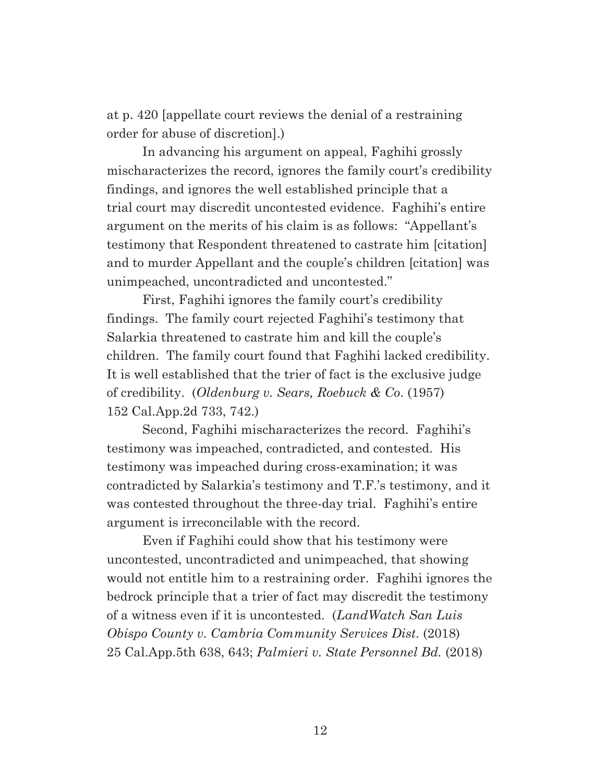at p. 420 [appellate court reviews the denial of a restraining order for abuse of discretion].)

 In advancing his argument on appeal, Faghihi grossly mischaracterizes the record, ignores the family court's credibility findings, and ignores the well established principle that a trial court may discredit uncontested evidence. Faghihi's entire argument on the merits of his claim is as follows: "Appellant's testimony that Respondent threatened to castrate him [citation] and to murder Appellant and the couple's children [citation] was unimpeached, uncontradicted and uncontested."

 First, Faghihi ignores the family court's credibility findings. The family court rejected Faghihi's testimony that Salarkia threatened to castrate him and kill the couple's children. The family court found that Faghihi lacked credibility. It is well established that the trier of fact is the exclusive judge of credibility. (*Oldenburg v. Sears, Roebuck & Co*. (1957) 152 Cal.App.2d 733, 742.)

 Second, Faghihi mischaracterizes the record. Faghihi's testimony was impeached, contradicted, and contested. His testimony was impeached during cross-examination; it was contradicted by Salarkia's testimony and T.F.'s testimony, and it was contested throughout the three-day trial. Faghihi's entire argument is irreconcilable with the record.

 Even if Faghihi could show that his testimony were uncontested, uncontradicted and unimpeached, that showing would not entitle him to a restraining order. Faghihi ignores the bedrock principle that a trier of fact may discredit the testimony of a witness even if it is uncontested. (*LandWatch San Luis Obispo County v. Cambria Community Services Dist.* (2018) 25 Cal.App.5th 638, 643; *Palmieri v. State Personnel Bd.* (2018)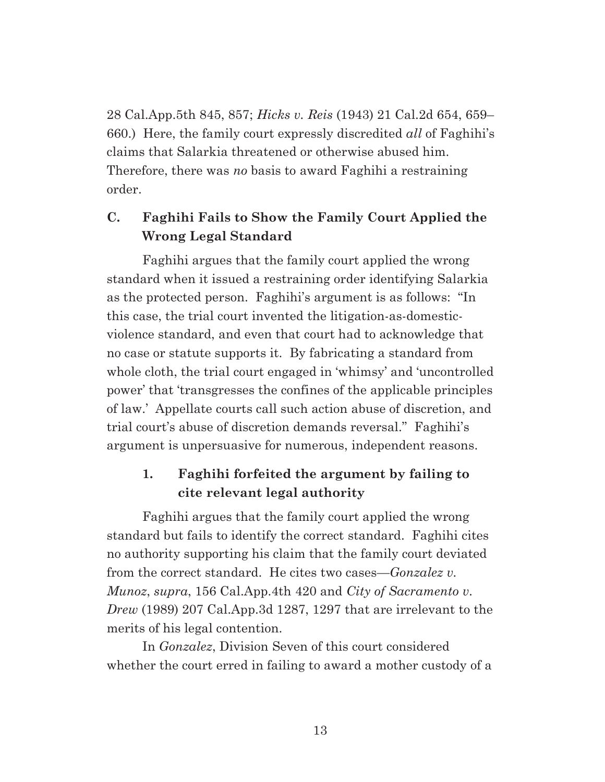28 Cal.App.5th 845, 857; *Hicks v. Reis* (1943) 21 Cal.2d 654, 659– 660.) Here, the family court expressly discredited *all* of Faghihi's claims that Salarkia threatened or otherwise abused him. Therefore, there was *no* basis to award Faghihi a restraining order.

# **C. Faghihi Fails to Show the Family Court Applied the Wrong Legal Standard**

 Faghihi argues that the family court applied the wrong standard when it issued a restraining order identifying Salarkia as the protected person. Faghihi's argument is as follows: "In this case, the trial court invented the litigation-as-domesticviolence standard, and even that court had to acknowledge that no case or statute supports it. By fabricating a standard from whole cloth, the trial court engaged in 'whimsy' and 'uncontrolled power' that 'transgresses the confines of the applicable principles of law.' Appellate courts call such action abuse of discretion, and trial court's abuse of discretion demands reversal." Faghihi's argument is unpersuasive for numerous, independent reasons.

## **1. Faghihi forfeited the argument by failing to cite relevant legal authority**

 Faghihi argues that the family court applied the wrong standard but fails to identify the correct standard. Faghihi cites no authority supporting his claim that the family court deviated from the correct standard. He cites two cases—*Gonzalez v. Munoz*, *supra*, 156 Cal.App.4th 420 and *City of Sacramento v. Drew* (1989) 207 Cal.App.3d 1287, 1297 that are irrelevant to the merits of his legal contention.

 In *Gonzalez*, Division Seven of this court considered whether the court erred in failing to award a mother custody of a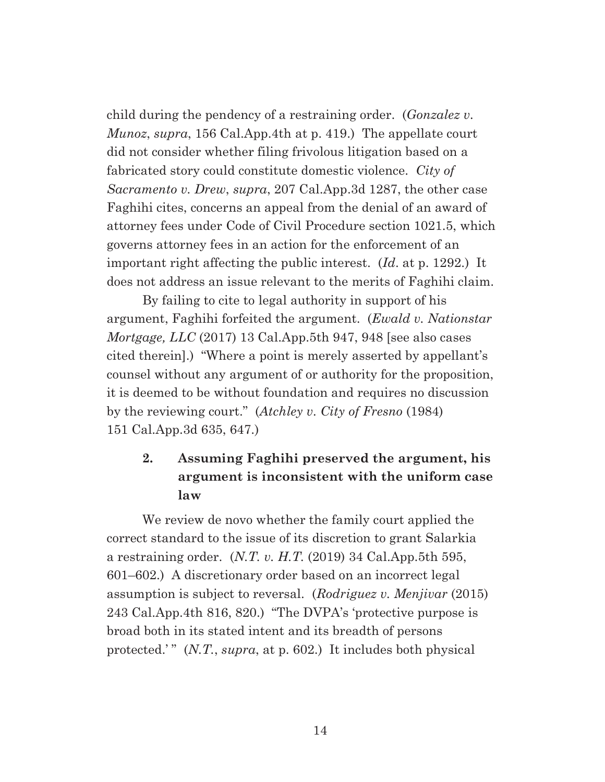child during the pendency of a restraining order. (*Gonzalez v. Munoz*, *supra*, 156 Cal.App.4th at p. 419.) The appellate court did not consider whether filing frivolous litigation based on a fabricated story could constitute domestic violence. *City of Sacramento v. Drew*, *supra*, 207 Cal.App.3d 1287, the other case Faghihi cites, concerns an appeal from the denial of an award of attorney fees under Code of Civil Procedure section 1021.5, which governs attorney fees in an action for the enforcement of an important right affecting the public interest. (*Id*. at p. 1292.) It does not address an issue relevant to the merits of Faghihi claim.

 By failing to cite to legal authority in support of his argument, Faghihi forfeited the argument. (*Ewald v. Nationstar Mortgage, LLC* (2017) 13 Cal.App.5th 947, 948 [see also cases cited therein].) "Where a point is merely asserted by appellant's counsel without any argument of or authority for the proposition, it is deemed to be without foundation and requires no discussion by the reviewing court." (*Atchley v. City of Fresno* (1984) 151 Cal.App.3d 635, 647.)

# **2. Assuming Faghihi preserved the argument, his argument is inconsistent with the uniform case law**

 We review de novo whether the family court applied the correct standard to the issue of its discretion to grant Salarkia a restraining order. (*N.T. v. H.T.* (2019) 34 Cal.App.5th 595, 601–602.) A discretionary order based on an incorrect legal assumption is subject to reversal. (*Rodriguez v. Menjivar* (2015) 243 Cal.App.4th 816, 820.) "The DVPA's 'protective purpose is broad both in its stated intent and its breadth of persons protected.'" (*N.T.*, *supra*, at p. 602.) It includes both physical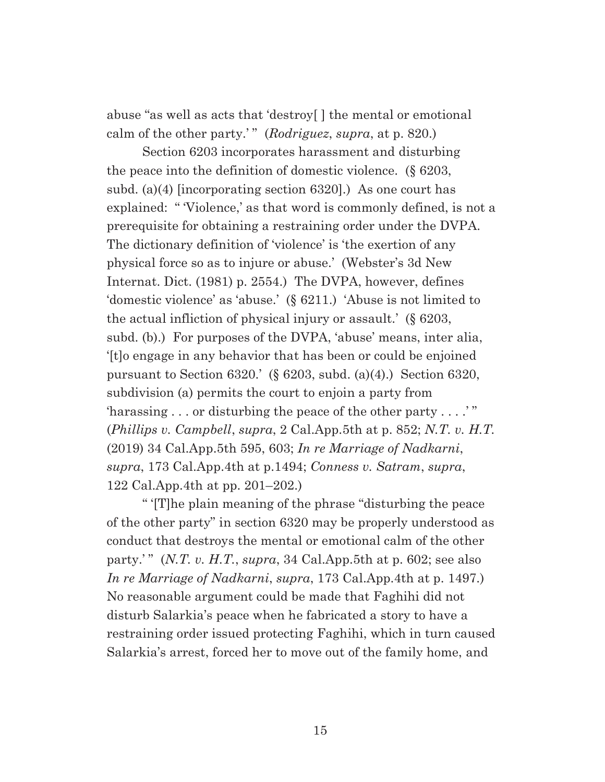abuse "as well as acts that 'destroy[ ] the mental or emotional calm of the other party.' " (*Rodriguez*, *supra*, at p. 820.)

 Section 6203 incorporates harassment and disturbing the peace into the definition of domestic violence. (§ 6203, subd. (a)(4) [incorporating section 6320].) As one court has explained: "Violence,' as that word is commonly defined, is not a prerequisite for obtaining a restraining order under the DVPA. The dictionary definition of 'violence' is 'the exertion of any physical force so as to injure or abuse.' (Webster's 3d New Internat. Dict. (1981) p. 2554.) The DVPA, however, defines 'domestic violence' as 'abuse.' (§ 6211.) 'Abuse is not limited to the actual infliction of physical injury or assault.' (§ 6203, subd. (b).) For purposes of the DVPA, 'abuse' means, inter alia, '[t]o engage in any behavior that has been or could be enjoined pursuant to Section 6320.' (§ 6203, subd. (a)(4).) Section 6320, subdivision (a) permits the court to enjoin a party from 'harassing . . . or disturbing the peace of the other party . . . .' " (*Phillips v. Campbell*, *supra*, 2 Cal.App.5th at p. 852; *N.T. v. H.T.* (2019) 34 Cal.App.5th 595, 603; *In re Marriage of Nadkarni*, *supra*, 173 Cal.App.4th at p.1494; *Conness v. Satram*, *supra*, 122 Cal.App.4th at pp. 201–202.)

 " '[T]he plain meaning of the phrase "disturbing the peace of the other party" in section 6320 may be properly understood as conduct that destroys the mental or emotional calm of the other party.' " (*N.T. v. H.T.*, *supra*, 34 Cal.App.5th at p. 602; see also *In re Marriage of Nadkarni*, *supra*, 173 Cal.App.4th at p. 1497.) No reasonable argument could be made that Faghihi did not disturb Salarkia's peace when he fabricated a story to have a restraining order issued protecting Faghihi, which in turn caused Salarkia's arrest, forced her to move out of the family home, and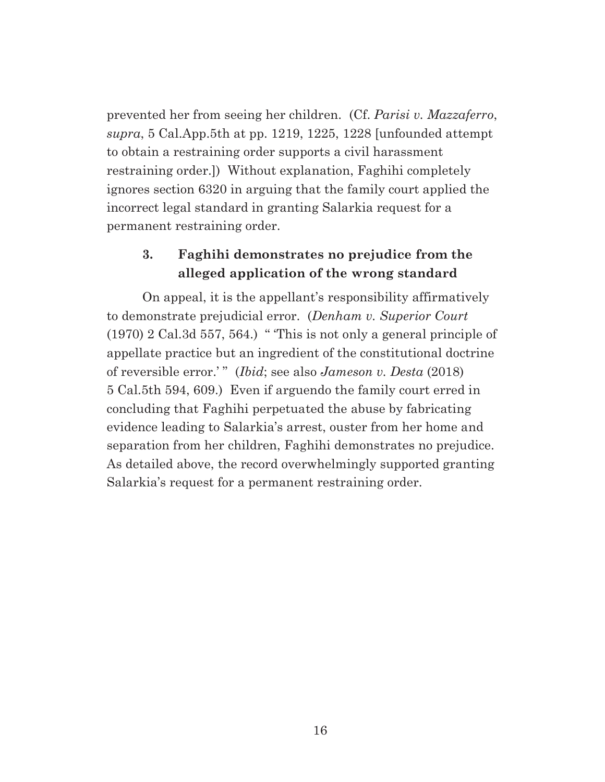prevented her from seeing her children. (Cf. *Parisi v. Mazzaferro*, *supra*, 5 Cal.App.5th at pp. 1219, 1225, 1228 [unfounded attempt to obtain a restraining order supports a civil harassment restraining order.]) Without explanation, Faghihi completely ignores section 6320 in arguing that the family court applied the incorrect legal standard in granting Salarkia request for a permanent restraining order.

## **3. Faghihi demonstrates no prejudice from the alleged application of the wrong standard**

 On appeal, it is the appellant's responsibility affirmatively to demonstrate prejudicial error. (*Denham v. Superior Court*  $(1970)$  2 Cal.3d 557, 564.) "This is not only a general principle of appellate practice but an ingredient of the constitutional doctrine of reversible error.' " (*Ibid*; see also *Jameson v. Desta* (2018) 5 Cal.5th 594, 609.) Even if arguendo the family court erred in concluding that Faghihi perpetuated the abuse by fabricating evidence leading to Salarkia's arrest, ouster from her home and separation from her children, Faghihi demonstrates no prejudice. As detailed above, the record overwhelmingly supported granting Salarkia's request for a permanent restraining order.